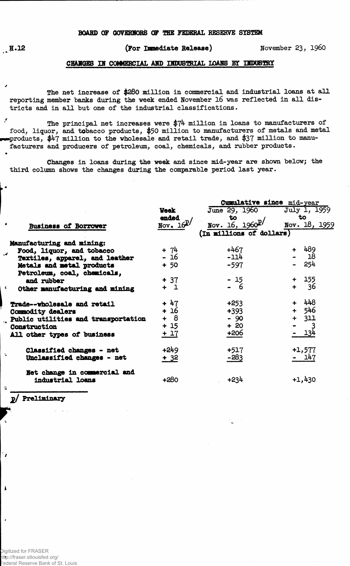## **BOAHD OF OOVERHORS OP THE FEDERAL RESERVE SYSTEM**

## **H.12 (For Immediate Release) November 23, i960**

## **CHANGES IN COMMERCIAL AMD INDUSTRIAL LOAMS BY INDUSTRY**

**The net increase of \$280 million in commercial and industrial loans at all reporting member banks during the week ended November 16 was reflected in all districts and in all but one of the industrial classifications.**

× **The principal net increases were \$74 million in loans to manufacturers of food, liquor, and tobacco products, \$50 million to manufacturers of metals and metal ••••products, \$47 million to the wholesale and retail trade, and \$37 million to manufacturers and producers of petroleum, coal, chemicals, and rubber products.**

**Changes in loans during the week and since mid-year are shown below; the third column shows the changes during the comparable period last year.**

|                                     |               | Cumulative since mid-year |               |  |  |  |  |  |
|-------------------------------------|---------------|---------------------------|---------------|--|--|--|--|--|
|                                     | <b>Veek</b>   | June 29, 1960             | July 1, 1959  |  |  |  |  |  |
|                                     | ended         | to                        | to            |  |  |  |  |  |
| <b>Business of Borrower</b>         | Nov. $16^{p}$ | Nov. 16, $1960^{p}$       | Nov. 18, 1959 |  |  |  |  |  |
|                                     |               | (In millions of dollars)  |               |  |  |  |  |  |
| Manufacturing and mining:           |               |                           |               |  |  |  |  |  |
| Food, liquor, and tobacco           | $+ 74$        | $+467$                    | + 489         |  |  |  |  |  |
| Textiles, apparel, and leather      | $-16$         | $-114$                    | -18           |  |  |  |  |  |
|                                     | $+ 50$        | $-597$                    | 254           |  |  |  |  |  |
| Metals and metal products           |               |                           |               |  |  |  |  |  |
| Petroleum, coal, chemicals,         |               |                           |               |  |  |  |  |  |
| and rubber                          | $+ 37$        | $-15$                     | + 155         |  |  |  |  |  |
| Other manufacturing and mining      | $+1$          | - 6                       | -36<br>$+$    |  |  |  |  |  |
| Trade--wholesale and retail         | + 47          | $+253$                    | 448           |  |  |  |  |  |
| Commodity dealers                   | + 16          | $+393$                    | 546<br>$+$    |  |  |  |  |  |
| Public utilities and transportation | $+ 8$         | $-90$                     | $+$ 311       |  |  |  |  |  |
|                                     | $+15$         | $+20$                     |               |  |  |  |  |  |
| Construction                        |               | +206                      | 134           |  |  |  |  |  |
| All other types of business         | $+17$         |                           |               |  |  |  |  |  |
| Classified changes - net            | $+249$        | $+517$                    | +1,577        |  |  |  |  |  |
| Unclassified changes - net          | $+32$         | $-283$                    | - 147         |  |  |  |  |  |
|                                     |               |                           |               |  |  |  |  |  |
| Net change in commercial and        |               |                           |               |  |  |  |  |  |
| industrial loans                    | +280          | +234                      | $+1,430$      |  |  |  |  |  |
|                                     |               |                           |               |  |  |  |  |  |

p/ Preliminary

 $\epsilon$ 

 $\mathbf{A}$ 

٠,

 $\mathbf{1}$